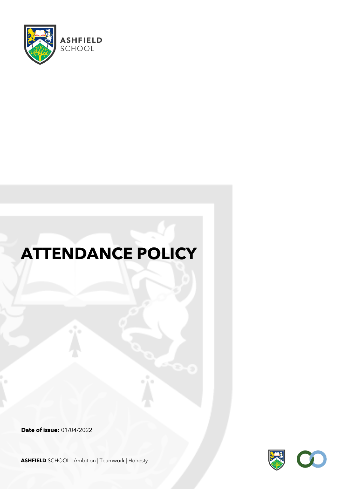

# **ATTENDANCE POLICY**

**Date of issue:** 01/04/2022

**ASHFIELD** SCHOOL Ambition | Teamwork | Honesty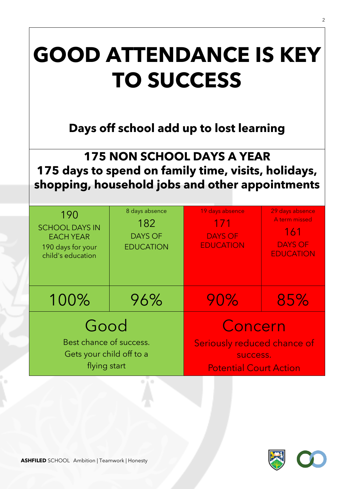# **GOOD ATTENDANCE IS KEY TO SUCCESS Days off school add up to lost learning 175 NON SCHOOL DAYS A YEAR 175 days to spend on family time, visits, holidays, shopping, household jobs and other appointments** 190 SCHOOL DAYS IN EACH YEAR 190 days for your child's education 8 days absence 182 DAYS OF EDUCATION 19 days absence 171 DAYS OF EDUCATION 29 days absence A term missed 161 DAYS OF EDUCATION 100% 96% 90% 85% Good Best chance of success. Gets your child off to a flying start Concern Seriously reduced chance of success. Potential Court Action

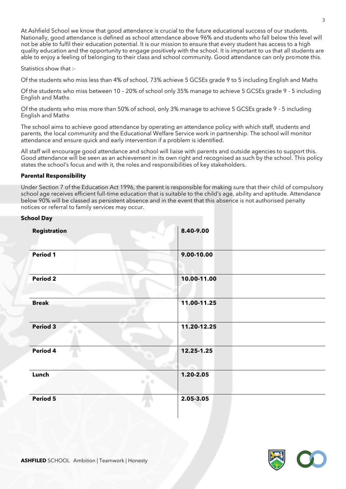At Ashfield School we know that good attendance is crucial to the future educational success of our students. Nationally, good attendance is defined as school attendance above 96% and students who fall below this level will not be able to fulfil their education potential. It is our mission to ensure that every student has access to a high quality education and the opportunity to engage positively with the school. It is important to us that all students are able to enjoy a feeling of belonging to their class and school community. Good attendance can only promote this.

Statistics show that :-

Of the students who miss less than 4% of school, 73% achieve 5 GCSEs grade 9 to 5 including English and Maths

Of the students who miss between 10 – 20% of school only 35% manage to achieve 5 GCSEs grade 9 - 5 including English and Maths

Of the students who miss more than 50% of school, only 3% manage to achieve 5 GCSEs grade 9 - 5 including English and Maths

The school aims to achieve good attendance by operating an attendance policy with which staff, students and parents, the local community and the Educational Welfare Service work in partnership. The school will monitor attendance and ensure quick and early intervention if a problem is identified.

All staff will encourage good attendance and school will liaise with parents and outside agencies to support this. Good attendance will be seen as an achievement in its own right and recognised as such by the school. This policy states the school's focus and with it, the roles and responsibilities of key stakeholders.

#### **Parental Responsibility**

Under Section 7 of the Education Act 1996, the parent is responsible for making sure that their child of compulsory school age receives efficient full-time education that is suitable to the child's age, ability and aptitude. Attendance below 90% will be classed as persistent absence and in the event that this absence is not authorised penalty notices or referral to family services may occur.

| School Day               |                          |
|--------------------------|--------------------------|
| Registration             | 8.40-9.00<br>÷           |
| Period 1                 | 9.00-10.00               |
| <b>Period 2</b>          | 10.00-11.00              |
| <b>Break</b>             | 11.00-11.25              |
| <b>Period 3</b><br>ن ر ه | 11.20-12.25              |
| Period 4                 | 12.25-1.25               |
| Lunch                    | 1.20-2.05<br>n,<br>O A O |
| Period 5                 | 2.05-3.05                |

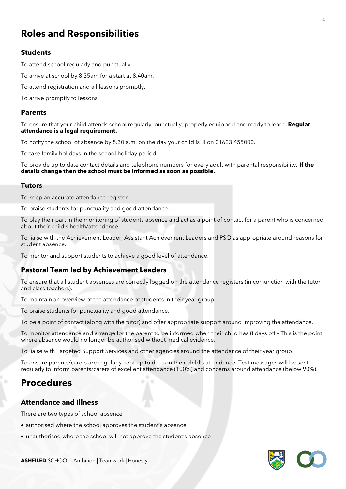# **Roles and Responsibilities**

## **Students**

To attend school regularly and punctually.

To arrive at school by 8.35am for a start at 8.40am.

To attend registration and all lessons promptly.

To arrive promptly to lessons.

#### **Parents**

To ensure that your child attends school regularly, punctually, properly equipped and ready to learn. **Regular attendance is a legal requirement.**

To notify the school of absence by 8.30 a.m. on the day your child is ill on 01623 455000.

To take family holidays in the school holiday period.

To provide up to date contact details and telephone numbers for every adult with parental responsibility. **If the details change then the school must be informed as soon as possible.**

#### **Tutors**

To keep an accurate attendance register.

To praise students for punctuality and good attendance.

To play their part in the monitoring of students absence and act as a point of contact for a parent who is concerned about their child's health/attendance.

To liaise with the Achievement Leader, Assistant Achievement Leaders and PSO as appropriate around reasons for student absence.

To mentor and support students to achieve a good level of attendance.

## **Pastoral Team led by Achievement Leaders**

To ensure that all student absences are correctly logged on the attendance registers (in conjunction with the tutor and class teachers).

To maintain an overview of the attendance of students in their year group.

To praise students for punctuality and good attendance.

To be a point of contact (along with the tutor) and offer appropriate support around improving the attendance.

To monitor attendance and arrange for the parent to be informed when their child has 8 days off – This is the point where absence would no longer be authorised without medical evidence.

To liaise with Targeted Support Services and other agencies around the attendance of their year group.

To ensure parents/carers are regularly kept up to date on their child's attendance. Text messages will be sent regularly to inform parents/carers of excellent attendance (100%) and concerns around attendance (below 90%).

# **Procedures**

#### **Attendance and Illness**

There are two types of school absence

- authorised where the school approves the student's absence
- unauthorised where the school will not approve the student's absence

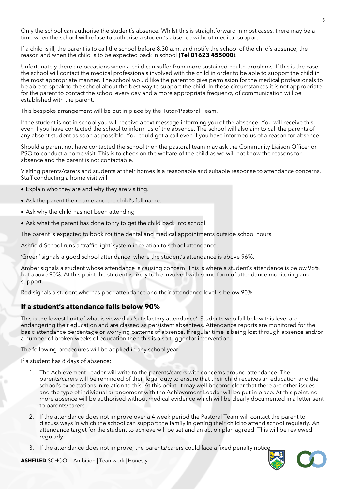Only the school can authorise the student's absence. Whilst this is straightforward in most cases, there may be a time when the school will refuse to authorise a student's absence without medical support.

If a child is ill, the parent is to call the school before 8.30 a.m. and notify the school of the child's absence, the reason and when the child is to be expected back in school **(Tel 01623 455000**).

Unfortunately there are occasions when a child can suffer from more sustained health problems. If this is the case, the school will contact the medical professionals involved with the child in order to be able to support the child in the most appropriate manner. The school would like the parent to give permission for the medical professionals to be able to speak to the school about the best way to support the child. In these circumstances it is not appropriate for the parent to contact the school every day and a more appropriate frequency of communication will be established with the parent.

This bespoke arrangement will be put in place by the Tutor/Pastoral Team.

If the student is not in school you will receive a text message informing you of the absence. You will receive this even if you have contacted the school to inform us of the absence. The school will also aim to call the parents of any absent student as soon as possible. You could get a call even if you have informed us of a reason for absence.

Should a parent not have contacted the school then the pastoral team may ask the Community Liaison Officer or PSO to conduct a home visit. This is to check on the welfare of the child as we will not know the reasons for absence and the parent is not contactable.

Visiting parents/carers and students at their homes is a reasonable and suitable response to attendance concerns. Staff conducting a home visit will

- Explain who they are and why they are visiting.
- Ask the parent their name and the child's full name.
- Ask why the child has not been attending
- Ask what the parent has done to try to get the child back into school

The parent is expected to book routine dental and medical appointments outside school hours.

Ashfield School runs a 'traffic light' system in relation to school attendance.

'Green' signals a good school attendance, where the student's attendance is above 96%.

Amber signals a student whose attendance is causing concern. This is where a student's attendance is below 96% but above 90%. At this point the student is likely to be involved with some form of attendance monitoring and support.

Red signals a student who has poor attendance and their attendance level is below 90%.

## **If a student's attendance falls below 90%**

This is the lowest limit of what is viewed as 'satisfactory attendance'. Students who fall below this level are endangering their education and are classed as persistent absentees. Attendance reports are monitored for the basic attendance percentage or worrying patterns of absence. If regular time is being lost through absence and/or a number of broken weeks of education then this is also trigger for intervention.

The following procedures will be applied in any school year.

If a student has 8 days of absence:

- 1. The Achievement Leader will write to the parents/carers with concerns around attendance. The parents/carers will be reminded of their legal duty to ensure that their child receives an education and the school's expectations in relation to this. At this point, it may well become clear that there are other issues and the type of individual arrangement with the Achievement Leader will be put in place. At this point, no more absence will be authorised without medical evidence which will be clearly documented in a letter sent to parents/carers.
- 2. If the attendance does not improve over a 4 week period the Pastoral Team will contact the parent to discuss ways in which the school can support the family in getting their child to attend school regularly. An attendance target for the student to achieve will be set and an action plan agreed. This will be reviewed regularly.
- 3. If the attendance does not improve, the parents/carers could face a fixed penalty notice.



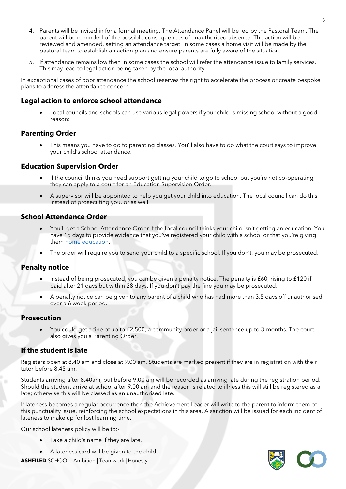- 4. Parents will be invited in for a formal meeting. The Attendance Panel will be led by the Pastoral Team. The parent will be reminded of the possible consequences of unauthorised absence. The action will be reviewed and amended, setting an attendance target. In some cases a home visit will be made by the pastoral team to establish an action plan and ensure parents are fully aware of the situation.
- 5. If attendance remains low then in some cases the school will refer the attendance issue to family services. This may lead to legal action being taken by the local authority.

In exceptional cases of poor attendance the school reserves the right to accelerate the process or create bespoke plans to address the attendance concern.

## **Legal action to enforce school attendance**

• Local councils and schools can use various legal powers if your child is missing school without a good reason:

## **Parenting Order**

• This means you have to go to parenting classes. You'll also have to do what the court says to improve your child's school attendance.

## **Education Supervision Order**

- If the council thinks you need support getting your child to go to school but you're not co-operating, they can apply to a court for an Education Supervision Order.
- A supervisor will be appointed to help you get your child into education. The local council can do this instead of prosecuting you, or as well.

#### **School Attendance Order**

- You'll get a School Attendance Order if the local council thinks your child isn't getting an education. You have 15 days to provide evidence that you've registered your child with a school or that you're giving them [home education.](https://www.gov.uk/home-education)
- The order will require you to send your child to a specific school. If you don't, you may be prosecuted.

## **Penalty notice**

- Instead of being prosecuted, you can be given a penalty notice. The penalty is £60, rising to £120 if paid after 21 days but within 28 days. If you don't pay the fine you may be prosecuted.
- A penalty notice can be given to any parent of a child who has had more than 3.5 days off unauthorised over a 6 week period.

#### **Prosecution**

• You could get a fine of up to £2,500, a community order or a jail sentence up to 3 months. The court also gives you a Parenting Order.

## **If the student is late**

Registers open at 8.40 am and close at 9.00 am. Students are marked present if they are in registration with their tutor before 8.45 am.

Students arriving after 8.40am, but before 9.00 am will be recorded as arriving late during the registration period. Should the student arrive at school after 9.00 am and the reason is related to illness this will still be registered as a late; otherwise this will be classed as an unauthorised late.

If lateness becomes a regular occurrence then the Achievement Leader will write to the parent to inform them of this punctuality issue, reinforcing the school expectations in this area. A sanction will be issued for each incident of lateness to make up for lost learning time.

Our school lateness policy will be to:-

- Take a child's name if they are late.
- A lateness card will be given to the child.

**ASHFILED** SCHOOL Ambition | Teamwork | Honesty

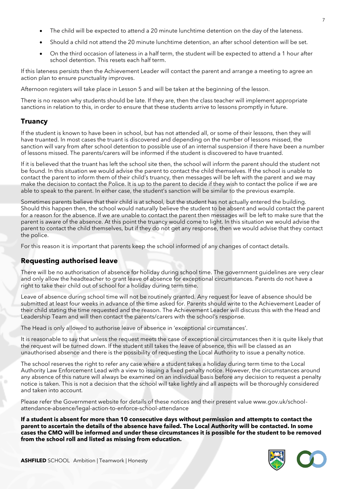- The child will be expected to attend a 20 minute lunchtime detention on the day of the lateness.
- Should a child not attend the 20 minute lunchtime detention, an after school detention will be set.
- On the third occasion of lateness in a half term, the student will be expected to attend a 1 hour after school detention. This resets each half term.

If this lateness persists then the Achievement Leader will contact the parent and arrange a meeting to agree an action plan to ensure punctuality improves.

Afternoon registers will take place in Lesson 5 and will be taken at the beginning of the lesson.

There is no reason why students should be late. If they are, then the class teacher will implement appropriate sanctions in relation to this, in order to ensure that these students arrive to lessons promptly in future.

## **Truancy**

If the student is known to have been in school, but has not attended all, or some of their lessons, then they will have truanted. In most cases the truant is discovered and depending on the number of lessons missed, the sanction will vary from after school detention to possible use of an internal suspension if there have been a number of lessons missed. The parents/carers will be informed if the student is discovered to have truanted.

If it is believed that the truant has left the school site then, the school will inform the parent should the student not be found. In this situation we would advise the parent to contact the child themselves. If the school is unable to contact the parent to inform them of their child's truancy, then messages will be left with the parent and we may make the decision to contact the Police. It is up to the parent to decide if they wish to contact the police if we are able to speak to the parent. In either case, the student's sanction will be similar to the previous example.

Sometimes parents believe that their child is at school, but the student has not actually entered the building. Should this happen then, the school would naturally believe the student to be absent and would contact the parent for a reason for the absence. If we are unable to contact the parent then messages will be left to make sure that the parent is aware of the absence. At this point the truancy would come to light. In this situation we would advise the parent to contact the child themselves, but if they do not get any response, then we would advise that they contact the police.

For this reason it is important that parents keep the school informed of any changes of contact details.

## **Requesting authorised leave**

There will be no authorisation of absence for holiday during school time. The government guidelines are very clear and only allow the headteacher to grant leave of absence for exceptional circumstances. Parents do not have a right to take their child out of school for a holiday during term time.

Leave of absence during school time will not be routinely granted. Any request for leave of absence should be submitted at least four weeks in advance of the time asked for. Parents should write to the Achievement Leader of their child stating the time requested and the reason. The Achievement Leader will discuss this with the Head and Leadership Team and will then contact the parents/carers with the school's response.

The Head is only allowed to authorise leave of absence in 'exceptional circumstances'.

It is reasonable to say that unless the request meets the case of exceptional circumstances then it is quite likely that the request will be turned down. If the student still takes the leave of absence, this will be classed as an unauthorised absence and there is the possibility of requesting the Local Authority to issue a penalty notice.

The school reserves the right to refer any case where a student takes a holiday during term time to the Local Authority Law Enforcement Lead with a view to issuing a fixed penalty notice. However, the circumstances around any absence of this nature will always be examined on an individual basis before any decision to request a penalty notice is taken. This is not a decision that the school will take lightly and all aspects will be thoroughly considered and taken into account.

Please refer the Government website for details of these notices and their present value www.gov.uk/schoolattendance-absence/legal-action-to-enforce-school-attendance

**If a student is absent for more than 10 consecutive days without permission and attempts to contact the parent to ascertain the details of the absence have failed. The Local Authority will be contacted. In some cases the CMO will be informed and under these circumstances it is possible for the student to be removed from the school roll and listed as missing from education.**

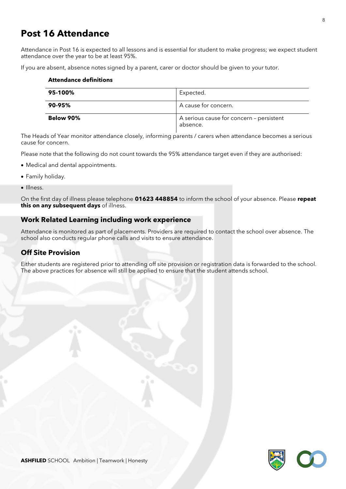# **Post 16 Attendance**

Attendance in Post 16 is expected to all lessons and is essential for student to make progress; we expect student attendance over the year to be at least 95%.

If you are absent, absence notes signed by a parent, carer or doctor should be given to your tutor.

#### **Attendance definitions**

| 95-100%   | Expected.                                            |
|-----------|------------------------------------------------------|
| 90-95%    | A cause for concern.                                 |
| Below 90% | A serious cause for concern - persistent<br>absence. |

The Heads of Year monitor attendance closely, informing parents / carers when attendance becomes a serious cause for concern.

Please note that the following do not count towards the 95% attendance target even if they are authorised:

- Medical and dental appointments.
- Family holiday.
- Illness.

On the first day of illness please telephone **01623 448854** to inform the school of your absence. Please **repeat this on any subsequent days** of illness.

#### **Work Related Learning including work experience**

Attendance is monitored as part of placements. Providers are required to contact the school over absence. The school also conducts regular phone calls and visits to ensure attendance.

## **Off Site Provision**

Either students are registered prior to attending off site provision or registration data is forwarded to the school. The above practices for absence will still be applied to ensure that the student attends school.

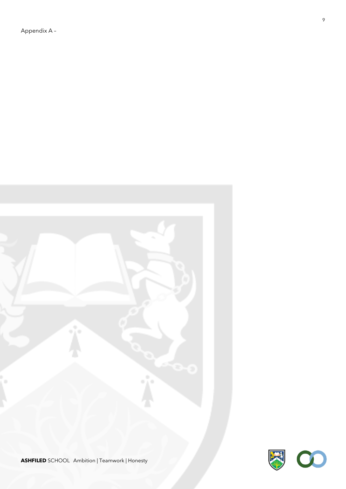